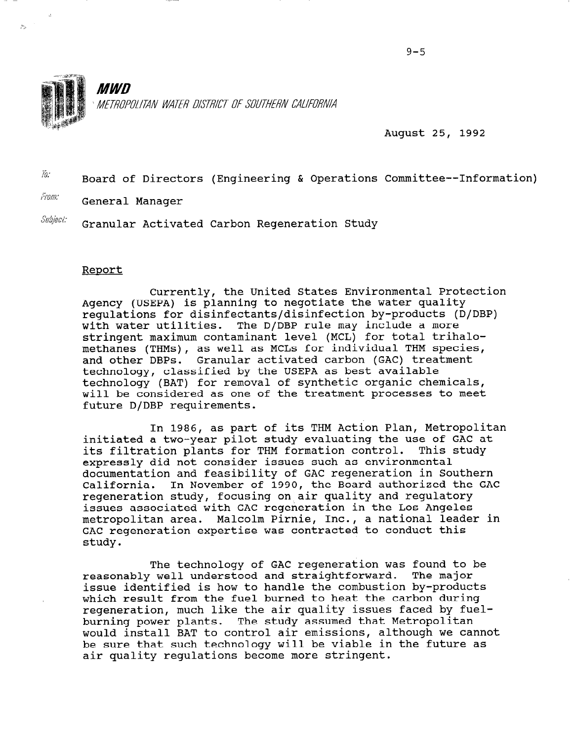

August 25, 1992

 $\overline{a}$ . Board of Directors (Engineering & Operations Committee--Information)

From: General Manager

ž5

 $\textit{Subject:}$  Granular Activated Carbon Regeneration Study

## Report

Currently, the United States Environmental Protection Agency (USEPA) is planning to negotiate the water quality regulations for disinfectants/disinfection by-products (D/DBP) with water utilities. The D/DBP rule may include a more stringent maximum contaminant level (MCL) for total trihalomethanes (THMs), as well as MCLs for individual THM species, and other DBPs. Granular activated carbon (GAC) treatment technology, classified by the USEPA as best available technology (BAT) for removal of synthetic organic chemicals, will be considered as one of the treatment processes to meet future D/DBP requirements.

In 1986, as part of its THM Action Plan, Metropolitan initiated a two-year pilot study evaluating the use of GAC at its filtration plants for THM formation control. This study expressly did not consider issues such as environmental documentation and feasibility of GAC regeneration in Southern California. In November of 1990, the Board authorized the GAC regeneration study, focusing on air quality and requlatory issues associated with GAC regeneration in the Los Angeles metropolitan area. Malcolm Pirnie, Inc., a national leader in GAC regeneration expertise was contracted to conduct this study.

The technology of GAC regeneration was found to be reasonably well understood and straightforward. The major issue identified is how to handle the combustion by-products which result from the fuel burned to heat the carbon during regeneration, much like the air quality issues faced by fuelburning power plants. The study assumed that Metropolitan purning power piants. The study assumed that metropolitan<br>would install BAT to control air emissions, although we cannot would install bar to control all emissions, although we cannot be sure that such technology will be viable in the future as air quality requlations become more stringent.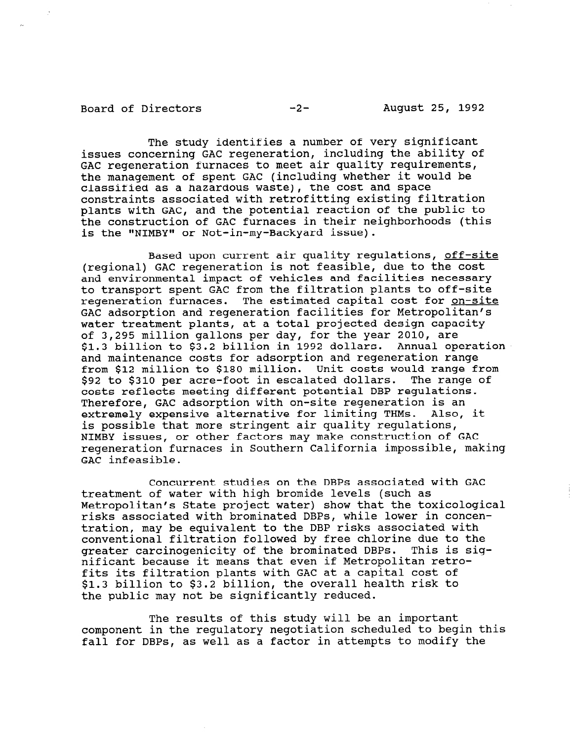Board of Directors -2- August 25, 1992

The study identifies a number of very significant issues concerning GAC regeneration, including the ability of GAC regeneration furnaces to meet air quality requirements, the management of spent GAC (including whether it would be classified as a hazardous waste), the cost and space constraints associated with retrofitting existing filtration plants with GAC, and the potential reaction of the public to the construction of GAC furnaces in their neighborhoods (this is the "NIMBY" or Not-in-my-Backyard issue).

Based upon current air quality regulations, off-site (regional) GAC regeneration is not feasible, due to the cost and environmental impact of vehicles and facilities necessary to transport spent GAC from the filtration plants to off-site regeneration furnaces. The estimated capital cost for on-site GAC adsorption and regeneration facilities for Metropolitan's water treatment plants, at a total projected design capacity of 3,295 million gallons per day, for the year 2010, are \$1.3 billion to \$3.2 billion in 1992 dollars. Annual operation and maintenance costs for adsorption and regeneration range from \$12 million to \$180 million. Unit costs would range from \$92 to \$310 per acre-foot in escalated dollars. The range of costs reflects meeting different potential DBP regulations. Therefore, GAC adsorption with on-site regeneration is an extremely expensive alternative for limiting THMs. Also, it is possible that more stringent air quality regulations, NIMBY issues, or other factors may make construction of GAC regeneration furnaces in Southern California impossible, making GAC infeasible.

Concurrent studies on the DBPs associated with GAC treatment of water with high bromide levels (such as Metropolitan's State project water) show that the toxicological risks associated with brominated DBPs, while lower in concentration, may be equivalent to the DBP risks associated with cration, may be equivalent to the but filsh desociated with conventional filtration followed by free chiorine due to the<br>exector carcinogenicity of the brominated DBBs. This is sig greater carcinogenicity of the brominated DBPs. This is sig-<br>nificant because it means that even if Metropolitan retrofits its filtration plants with GAC at a capital cost of \$1.3 billion to \$3.2 billion, the overall health risk to pl.) Diliton to po.2 Diliton, the overall i

The results of this study will be an important component in the regulatory negotiation scheduled to begin this fall for DBPs, as well as a factor in attempts to modify the